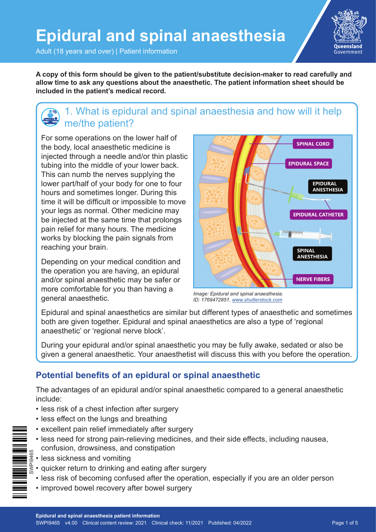Adult (18 years and over) | Patient information

**A copy of this form should be given to the patient/substitute decision-maker to read carefully and allow time to ask any questions about the anaesthetic. The patient information sheet should be included in the patient's medical record.**

# 1. What is epidural and spinal anaesthesia and how will it help me/the patient?

For some operations on the lower half of the body, local anaesthetic medicine is injected through a needle and/or thin plastic tubing into the middle of your lower back. This can numb the nerves supplying the lower part/half of your body for one to four hours and sometimes longer. During this time it will be difficult or impossible to move your legs as normal. Other medicine may be injected at the same time that prolongs pain relief for many hours. The medicine works by blocking the pain signals from reaching your brain.

Depending on your medical condition and the operation you are having, an epidural and/or spinal anaesthetic may be safer or more comfortable for you than having a general anaesthetic.

**SPINAL CORD EPIDURAL SPACE EPIDURAL ANESTHESIA EPIDURAL CATHETER SPINAL ANESTHESIA NERVE FIBERS** 

*Image: Epidural and spinal anaesthesia. ID: 1769472851. [www.shutterstock.com](http://www.shutterstock.com)*

Epidural and spinal anaesthetics are similar but different types of anaesthetic and sometimes both are given together. Epidural and spinal anaesthetics are also a type of 'regional anaesthetic' or 'regional nerve block'.

During your epidural and/or spinal anaesthetic you may be fully awake, sedated or also be given a general anaesthetic. Your anaesthetist will discuss this with you before the operation.

## **Potential benefits of an epidural or spinal anaesthetic**

The advantages of an epidural and/or spinal anaesthetic compared to a general anaesthetic include:

- less risk of a chest infection after surgery
- less effect on the lungs and breathing
- excellent pain relief immediately after surgery
- less need for strong pain-relieving medicines, and their side effects, including nausea, confusion, drowsiness, and constipation
- less sickness and vomiting
- $\frac{d}{dx}$  quicker return to drinking and eating after surgery
	- less risk of becoming confused after the operation, especially if you are an older person
	- improved bowel recovery after bowel surgery

Oueensland Government

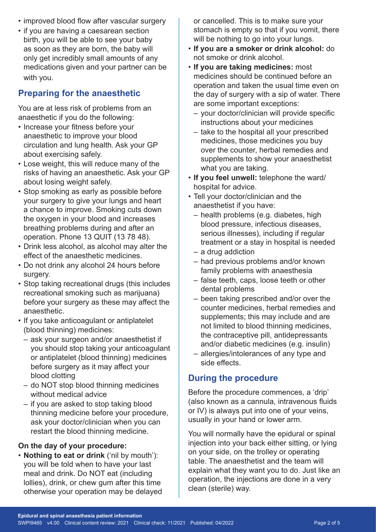- improved blood flow after vascular surgery
- if you are having a caesarean section birth, you will be able to see your baby as soon as they are born, the baby will only get incredibly small amounts of any medications given and your partner can be with you.

## **Preparing for the anaesthetic**

You are at less risk of problems from an anaesthetic if you do the following:

- Increase your fitness before your anaesthetic to improve your blood circulation and lung health. Ask your GP about exercising safely.
- Lose weight, this will reduce many of the risks of having an anaesthetic. Ask your GP about losing weight safely.
- Stop smoking as early as possible before your surgery to give your lungs and heart a chance to improve. Smoking cuts down the oxygen in your blood and increases breathing problems during and after an operation. Phone 13 QUIT (13 78 48).
- Drink less alcohol, as alcohol may alter the effect of the anaesthetic medicines.
- Do not drink any alcohol 24 hours before surgery.
- Stop taking recreational drugs (this includes recreational smoking such as marijuana) before your surgery as these may affect the anaesthetic.
- If you take anticoagulant or antiplatelet (blood thinning) medicines:
	- ask your surgeon and/or anaesthetist if you should stop taking your anticoagulant or antiplatelet (blood thinning) medicines before surgery as it may affect your blood clotting
	- do NOT stop blood thinning medicines without medical advice
	- if you are asked to stop taking blood thinning medicine before your procedure, ask your doctor/clinician when you can restart the blood thinning medicine.

#### **On the day of your procedure:**

• **Nothing to eat or drink** ('nil by mouth'): you will be told when to have your last meal and drink. Do NOT eat (including lollies), drink, or chew gum after this time otherwise your operation may be delayed or cancelled. This is to make sure your stomach is empty so that if you vomit, there will be nothing to go into your lungs.

- **If you are a smoker or drink alcohol:** do not smoke or drink alcohol.
- **If you are taking medicines:** most medicines should be continued before an operation and taken the usual time even on the day of surgery with a sip of water. There are some important exceptions:
	- your doctor/clinician will provide specific instructions about your medicines
	- take to the hospital all your prescribed medicines, those medicines you buy over the counter, herbal remedies and supplements to show your anaesthetist what you are taking.
- **If you feel unwell:** telephone the ward/ hospital for advice.
- Tell your doctor/clinician and the anaesthetist if you have:
	- health problems (e.g. diabetes, high blood pressure, infectious diseases, serious illnesses), including if regular treatment or a stay in hospital is needed
	- a drug addiction
	- had previous problems and/or known family problems with anaesthesia
	- false teeth, caps, loose teeth or other dental problems
	- been taking prescribed and/or over the counter medicines, herbal remedies and supplements; this may include and are not limited to blood thinning medicines, the contraceptive pill, antidepressants and/or diabetic medicines (e.g. insulin)
	- allergies/intolerances of any type and side effects.

### **During the procedure**

Before the procedure commences, a 'drip' (also known as a cannula, intravenous fluids or IV) is always put into one of your veins, usually in your hand or lower arm.

You will normally have the epidural or spinal injection into your back either sitting, or lying on your side, on the trolley or operating table. The anaesthetist and the team will explain what they want you to do. Just like an operation, the injections are done in a very clean (sterile) way.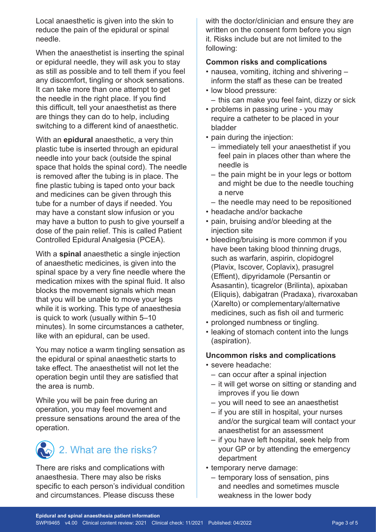Local anaesthetic is given into the skin to reduce the pain of the epidural or spinal needle.

When the anaesthetist is inserting the spinal or epidural needle, they will ask you to stay as still as possible and to tell them if you feel any discomfort, tingling or shock sensations. It can take more than one attempt to get the needle in the right place. If you find this difficult, tell your anaesthetist as there are things they can do to help, including switching to a different kind of anaesthetic.

With an **epidural** anaesthetic, a very thin plastic tube is inserted through an epidural needle into your back (outside the spinal space that holds the spinal cord). The needle is removed after the tubing is in place. The fine plastic tubing is taped onto your back and medicines can be given through this tube for a number of days if needed. You may have a constant slow infusion or you may have a button to push to give yourself a dose of the pain relief. This is called Patient Controlled Epidural Analgesia (PCEA).

With a **spinal** anaesthetic a single injection of anaesthetic medicines, is given into the spinal space by a very fine needle where the medication mixes with the spinal fluid. It also blocks the movement signals which mean that you will be unable to move your legs while it is working. This type of anaesthesia is quick to work (usually within 5–10 minutes). In some circumstances a catheter, like with an epidural, can be used.

You may notice a warm tingling sensation as the epidural or spinal anaesthetic starts to take effect. The anaesthetist will not let the operation begin until they are satisfied that the area is numb.

While you will be pain free during an operation, you may feel movement and pressure sensations around the area of the operation.

# 2. What are the risks?

There are risks and complications with anaesthesia. There may also be risks specific to each person's individual condition and circumstances. Please discuss these

with the doctor/clinician and ensure they are written on the consent form before you sign it. Risks include but are not limited to the following:

#### **Common risks and complications**

- nausea, vomiting, itching and shivering inform the staff as these can be treated
- low blood pressure:
	- this can make you feel faint, dizzy or sick
- problems in passing urine you may require a catheter to be placed in your bladder
- pain during the injection:
	- immediately tell your anaesthetist if you feel pain in places other than where the needle is
	- the pain might be in your legs or bottom and might be due to the needle touching a nerve
	- the needle may need to be repositioned
- headache and/or backache
- pain, bruising and/or bleeding at the injection site
- bleeding/bruising is more common if you have been taking blood thinning drugs, such as warfarin, aspirin, clopidogrel (Plavix, Iscover, Coplavix), prasugrel (Effient), dipyridamole (Persantin or Asasantin), ticagrelor (Brilinta), apixaban (Eliquis), dabigatran (Pradaxa), rivaroxaban (Xarelto) or complementary/alternative medicines, such as fish oil and turmeric
- prolonged numbness or tingling.
- leaking of stomach content into the lungs (aspiration).

#### **Uncommon risks and complications**

- severe headache:
	- can occur after a spinal injection
	- it will get worse on sitting or standing and improves if you lie down
	- you will need to see an anaesthetist
	- if you are still in hospital, your nurses and/or the surgical team will contact your anaesthetist for an assessment
	- if you have left hospital, seek help from your GP or by attending the emergency department
- temporary nerve damage:
	- temporary loss of sensation, pins and needles and sometimes muscle weakness in the lower body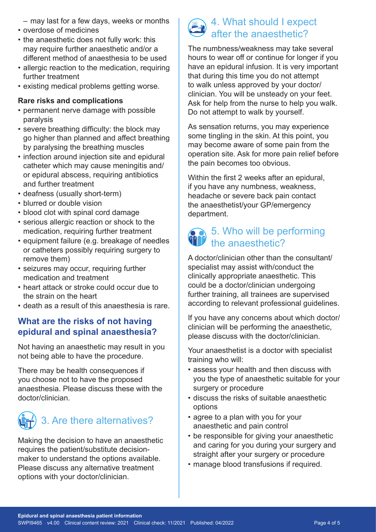- may last for a few days, weeks or months
- overdose of medicines
- the anaesthetic does not fully work: this may require further anaesthetic and/or a different method of anaesthesia to be used
- allergic reaction to the medication, requiring further treatment
- existing medical problems getting worse.

#### **Rare risks and complications**

- permanent nerve damage with possible paralysis
- severe breathing difficulty: the block may go higher than planned and affect breathing by paralysing the breathing muscles
- infection around injection site and epidural catheter which may cause meningitis and/ or epidural abscess, requiring antibiotics and further treatment
- deafness (usually short-term)
- blurred or double vision
- blood clot with spinal cord damage
- serious allergic reaction or shock to the medication, requiring further treatment
- equipment failure (e.g. breakage of needles or catheters possibly requiring surgery to remove them)
- seizures may occur, requiring further medication and treatment
- heart attack or stroke could occur due to the strain on the heart
- death as a result of this anaesthesia is rare.

## **What are the risks of not having epidural and spinal anaesthesia?**

Not having an anaesthetic may result in you not being able to have the procedure.

There may be health consequences if you choose not to have the proposed anaesthesia. Please discuss these with the doctor/clinician.



Making the decision to have an anaesthetic requires the patient/substitute decisionmaker to understand the options available. Please discuss any alternative treatment options with your doctor/clinician.

## 4. What should I expect after the anaesthetic?

The numbness/weakness may take several hours to wear off or continue for longer if you have an epidural infusion. It is very important that during this time you do not attempt to walk unless approved by your doctor/ clinician. You will be unsteady on your feet. Ask for help from the nurse to help you walk. Do not attempt to walk by yourself.

As sensation returns, you may experience some tingling in the skin. At this point, you may become aware of some pain from the operation site. Ask for more pain relief before the pain becomes too obvious.

Within the first 2 weeks after an epidural, if you have any numbness, weakness, headache or severe back pain contact the anaesthetist/your GP/emergency department.

# 5. Who will be performing the anaesthetic?

A doctor/clinician other than the consultant/ specialist may assist with/conduct the clinically appropriate anaesthetic. This could be a doctor/clinician undergoing further training, all trainees are supervised according to relevant professional guidelines.

If you have any concerns about which doctor/ clinician will be performing the anaesthetic, please discuss with the doctor/clinician.

Your anaesthetist is a doctor with specialist training who will:

- assess your health and then discuss with you the type of anaesthetic suitable for your surgery or procedure
- discuss the risks of suitable anaesthetic options
- agree to a plan with you for your anaesthetic and pain control
- be responsible for giving your anaesthetic and caring for you during your surgery and straight after your surgery or procedure
- manage blood transfusions if required.